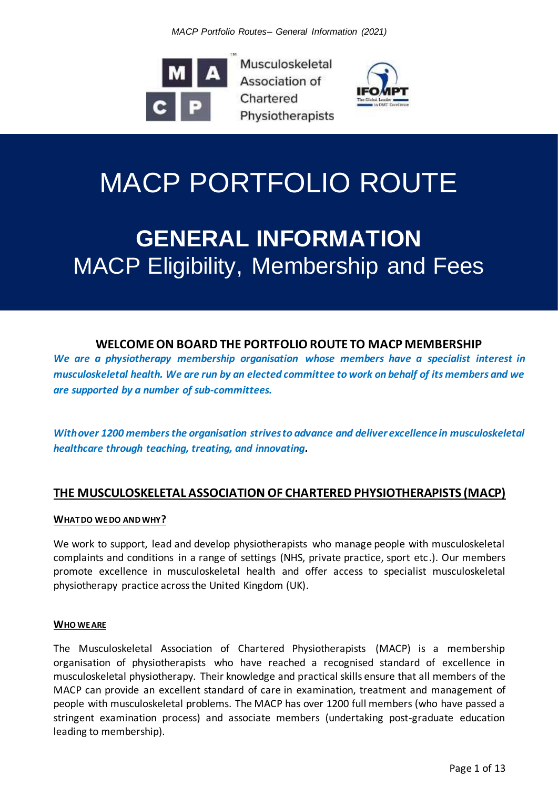*MACP Portfolio Routes– General Information (2021)*



Musculoskeletal Association of Chartered **Physiotherapists** 



# MACP PORTFOLIO ROUTE

## **GENERAL INFORMATION** MACP Eligibility, Membership and Fees

## **WELCOME ON BOARD THE PORTFOLIO ROUTE TO MACP MEMBERSHIP**

*We are a physiotherapy membership organisation whose members have a specialist interest in musculoskeletal health. We are run by an elected committee to work on behalf of its members and we are supported by a number of sub-committees.*

*With over 1200 members the organisation strives to advance and deliver excellence in musculoskeletal healthcare through teaching, treating, and innovating.*

## **THE MUSCULOSKELETAL ASSOCIATION OF CHARTERED PHYSIOTHERAPISTS (MACP)**

#### **WHAT DO WE DO AND WHY?**

We work to support, lead and develop physiotherapists who manage people with musculoskeletal complaints and conditions in a range of settings (NHS, private practice, sport etc.). Our members promote excellence in musculoskeletal health and offer access to specialist musculoskeletal physiotherapy practice across the United Kingdom (UK).

#### **WHO WE ARE**

The Musculoskeletal Association of Chartered Physiotherapists (MACP) is a membership organisation of physiotherapists who have reached a recognised standard of excellence in musculoskeletal physiotherapy. Their knowledge and practical skills ensure that all members of the MACP can provide an excellent standard of care in examination, treatment and management of people with musculoskeletal problems. The MACP has over 1200 full members (who have passed a stringent examination process) and associate members (undertaking post-graduate education leading to membership).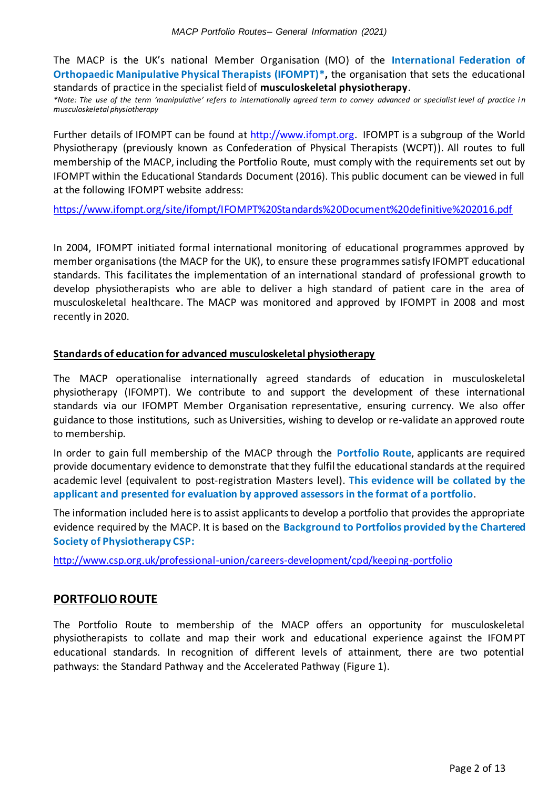The MACP is the UK's national Member Organisation (MO) of the **International Federation of Orthopaedic Manipulative Physical Therapists (IFOMPT)\*,** the organisation that sets the educational standards of practice in the specialist field of **musculoskeletal physiotherapy**.

*\*Note: The use of the term 'manipulative' refers to internationally agreed term to convey advanced or specialist level of practice i n musculoskeletal physiotherapy*

Further details of IFOMPT can be found at [http://www.ifompt.org.](http://www.ifompt.org/) IFOMPT is a subgroup of the World Physiotherapy (previously known as Confederation of Physical Therapists (WCPT)). All routes to full membership of the MACP, including the Portfolio Route, must comply with the requirements set out by IFOMPT within the Educational Standards Document (2016). This public document can be viewed in full at the following IFOMPT website address:

<https://www.ifompt.org/site/ifompt/IFOMPT%20Standards%20Document%20definitive%202016.pdf>

In 2004, IFOMPT initiated formal international monitoring of educational programmes approved by member organisations (the MACP for the UK), to ensure these programmes satisfy IFOMPT educational standards. This facilitates the implementation of an international standard of professional growth to develop physiotherapists who are able to deliver a high standard of patient care in the area of musculoskeletal healthcare. The MACP was monitored and approved by IFOMPT in 2008 and most recently in 2020.

#### **Standards of education for advanced musculoskeletal physiotherapy**

The MACP operationalise internationally agreed standards of education in musculoskeletal physiotherapy (IFOMPT). We contribute to and support the development of these international standards via our IFOMPT Member Organisation representative, ensuring currency. We also offer guidance to those institutions, such as Universities, wishing to develop or re-validate an approved route to membership.

In order to gain full membership of the MACP through the **Portfolio Route**, applicants are required provide documentary evidence to demonstrate that they fulfil the educational standards at the required academic level (equivalent to post-registration Masters level). **This evidence will be collated by the applicant and presented for evaluation by approved assessors in the format of a portfolio**.

The information included here is to assist applicants to develop a portfolio that provides the appropriate evidence required by the MACP. It is based on the **Background to Portfolios provided by the Chartered Society of Physiotherapy CSP:** 

<http://www.csp.org.uk/professional-union/careers-development/cpd/keeping-portfolio>

#### **PORTFOLIO ROUTE**

The Portfolio Route to membership of the MACP offers an opportunity for musculoskeletal physiotherapists to collate and map their work and educational experience against the IFOMPT educational standards. In recognition of different levels of attainment, there are two potential pathways: the Standard Pathway and the Accelerated Pathway (Figure 1).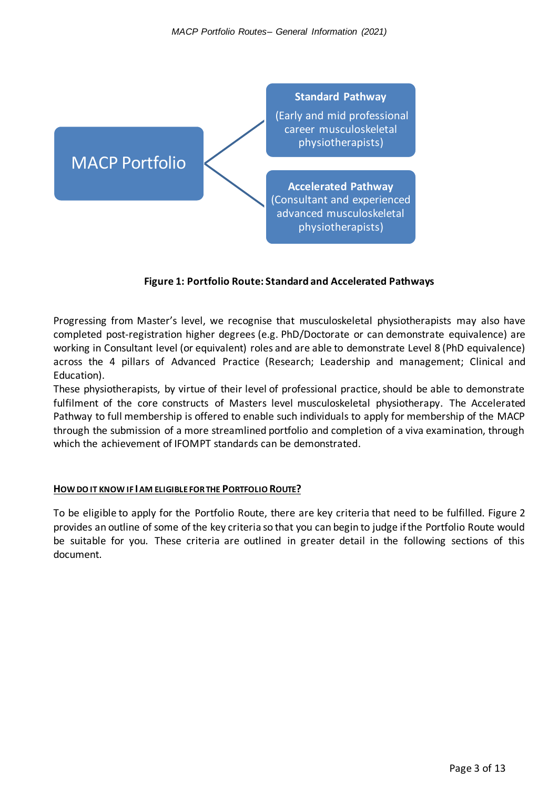

#### **Figure 1: Portfolio Route: Standard and Accelerated Pathways**

Progressing from Master's level, we recognise that musculoskeletal physiotherapists may also have completed post-registration higher degrees (e.g. PhD/Doctorate or can demonstrate equivalence) are working in Consultant level (or equivalent) roles and are able to demonstrate Level 8 (PhD equivalence) across the 4 pillars of Advanced Practice (Research; Leadership and management; Clinical and Education).

These physiotherapists, by virtue of their level of professional practice, should be able to demonstrate fulfilment of the core constructs of Masters level musculoskeletal physiotherapy. The Accelerated Pathway to full membership is offered to enable such individuals to apply for membership of the MACP through the submission of a more streamlined portfolio and completion of a viva examination, through which the achievement of IFOMPT standards can be demonstrated.

#### **HOW DO IT KNOW IF IAM ELIGIBLE FOR THE PORTFOLIO ROUTE?**

To be eligible to apply for the Portfolio Route, there are key criteria that need to be fulfilled. Figure 2 provides an outline of some of the key criteria so that you can begin to judge if the Portfolio Route would be suitable for you. These criteria are outlined in greater detail in the following sections of this document.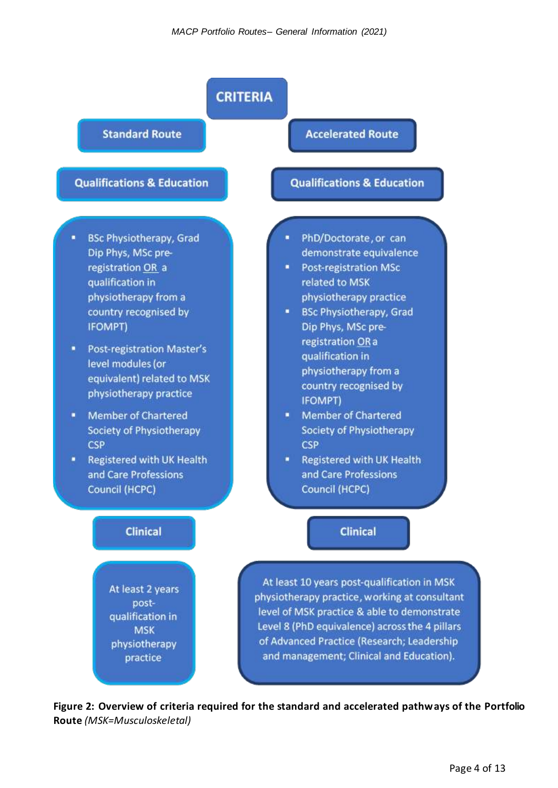

**Figure 2: Overview of criteria required for the standard and accelerated pathways of the Portfolio Route** *(MSK=Musculoskeletal)*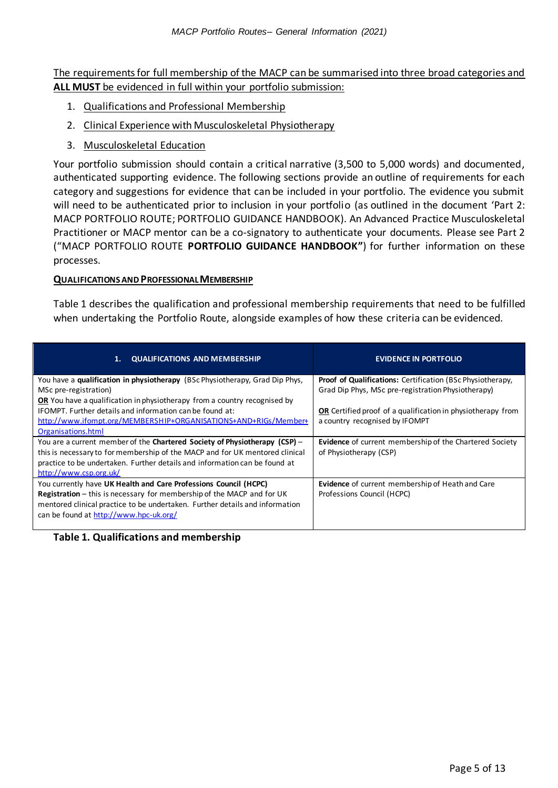The requirements for full membership of the MACP can be summarised into three broad categories and **ALL MUST** be evidenced in full within your portfolio submission:

- 1. Qualifications and Professional Membership
- 2. Clinical Experience with Musculoskeletal Physiotherapy
- 3. Musculoskeletal Education

Your portfolio submission should contain a critical narrative (3,500 to 5,000 words) and documented, authenticated supporting evidence. The following sections provide an outline of requirements for each category and suggestions for evidence that can be included in your portfolio. The evidence you submit will need to be authenticated prior to inclusion in your portfolio (as outlined in the document 'Part 2: MACP PORTFOLIO ROUTE; PORTFOLIO GUIDANCE HANDBOOK). An Advanced Practice Musculoskeletal Practitioner or MACP mentor can be a co-signatory to authenticate your documents. Please see Part 2 ("MACP PORTFOLIO ROUTE **PORTFOLIO GUIDANCE HANDBOOK"**) for further information on these processes.

#### **QUALIFICATIONS AND PROFESSIONAL MEMBERSHIP**

Table 1 describes the qualification and professional membership requirements that need to be fulfilled when undertaking the Portfolio Route, alongside examples of how these criteria can be evidenced.

| <b>QUALIFICATIONS AND MEMBERSHIP</b><br>1.                                    | <b>EVIDENCE IN PORTFOLIO</b>                                       |
|-------------------------------------------------------------------------------|--------------------------------------------------------------------|
| You have a qualification in physiotherapy (BSc Physiotherapy, Grad Dip Phys,  | <b>Proof of Qualifications:</b> Certification (BSc Physiotherapy,  |
| MSc pre-registration)                                                         | Grad Dip Phys, MSc pre-registration Physiotherapy)                 |
| OR You have a qualification in physiotherapy from a country recognised by     |                                                                    |
| IFOMPT. Further details and information can be found at:                      | <b>OR</b> Certified proof of a qualification in physiotherapy from |
| http://www.ifompt.org/MEMBERSHIP+ORGANISATIONS+AND+RIGs/Member+               | a country recognised by IFOMPT                                     |
| Organisations.html                                                            |                                                                    |
| You are a current member of the Chartered Society of Physiotherapy (CSP) -    | <b>Evidence</b> of current membership of the Chartered Society     |
| this is necessary to for membership of the MACP and for UK mentored clinical  | of Physiotherapy (CSP)                                             |
| practice to be undertaken. Further details and information can be found at    |                                                                    |
| http://www.csp.org.uk/                                                        |                                                                    |
| You currently have UK Health and Care Professions Council (HCPC)              | Evidence of current membership of Heath and Care                   |
| <b>Registration</b> – this is necessary for membership of the MACP and for UK | Professions Council (HCPC)                                         |
| mentored clinical practice to be undertaken. Further details and information  |                                                                    |
| can be found at http://www.hpc-uk.org/                                        |                                                                    |
|                                                                               |                                                                    |

#### **Table 1. Qualifications and membership**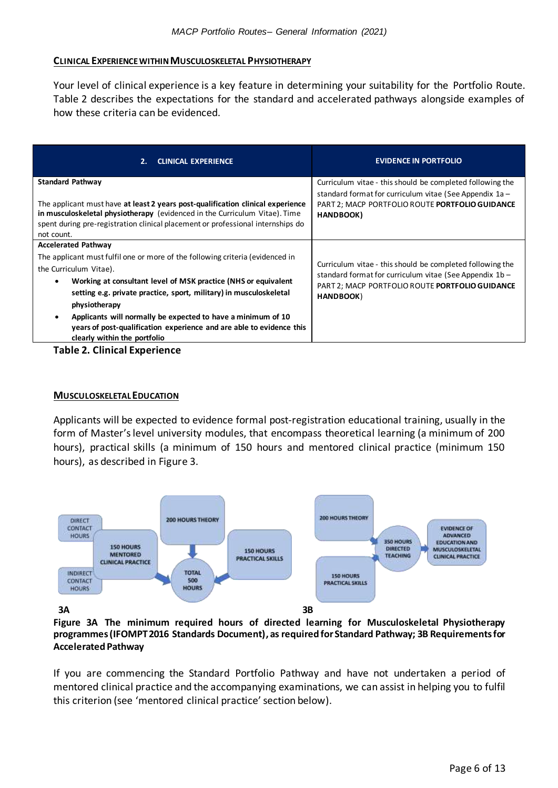#### **CLINICAL EXPERIENCE WITHIN MUSCULOSKELETAL PHYSIOTHERAPY**

Your level of clinical experience is a key feature in determining your suitability for the Portfolio Route. Table 2 describes the expectations for the standard and accelerated pathways alongside examples of how these criteria can be evidenced.

| 2.<br><b>CLINICAL EXPERIENCE</b>                                                                                                                                                                                                                                                                                                                                                                                                                                                                 | <b>EVIDENCE IN PORTFOLIO</b>                                                                                                                                                           |
|--------------------------------------------------------------------------------------------------------------------------------------------------------------------------------------------------------------------------------------------------------------------------------------------------------------------------------------------------------------------------------------------------------------------------------------------------------------------------------------------------|----------------------------------------------------------------------------------------------------------------------------------------------------------------------------------------|
| <b>Standard Pathway</b><br>The applicant must have at least 2 years post-qualification clinical experience<br>in musculoskeletal physiotherapy (evidenced in the Curriculum Vitae). Time<br>spent during pre-registration clinical placement or professional internships do<br>not count.                                                                                                                                                                                                        | Curriculum vitae - this should be completed following the<br>standard format for curriculum vitae (See Appendix $1a -$<br>PART 2; MACP PORTFOLIO ROUTE PORTFOLIO GUIDANCE<br>HANDBOOK) |
| <b>Accelerated Pathway</b><br>The applicant must fulfil one or more of the following criteria (evidenced in<br>the Curriculum Vitae).<br>Working at consultant level of MSK practice (NHS or equivalent<br>$\bullet$<br>setting e.g. private practice, sport, military) in musculoskeletal<br>physiotherapy<br>Applicants will normally be expected to have a minimum of 10<br>$\bullet$<br>years of post-qualification experience and are able to evidence this<br>clearly within the portfolio | Curriculum vitae - this should be completed following the<br>standard format for curriculum vitae (See Appendix 1b -<br>PART 2; MACP PORTFOLIO ROUTE PORTFOLIO GUIDANCE<br>HANDBOOK)   |

#### **Table 2. Clinical Experience**

#### **MUSCULOSKELETAL EDUCATION**

Applicants will be expected to evidence formal post-registration educational training, usually in the form of Master's level university modules, that encompass theoretical learning (a minimum of 200 hours), practical skills (a minimum of 150 hours and mentored clinical practice (minimum 150 hours), as described in Figure 3.



**Figure 3A The minimum required hours of directed learning for Musculoskeletal Physiotherapy programmes (IFOMPT 2016 Standards Document), as required for Standard Pathway; 3B Requirements for Accelerated Pathway**

If you are commencing the Standard Portfolio Pathway and have not undertaken a period of mentored clinical practice and the accompanying examinations, we can assist in helping you to fulfil this criterion (see 'mentored clinical practice' section below).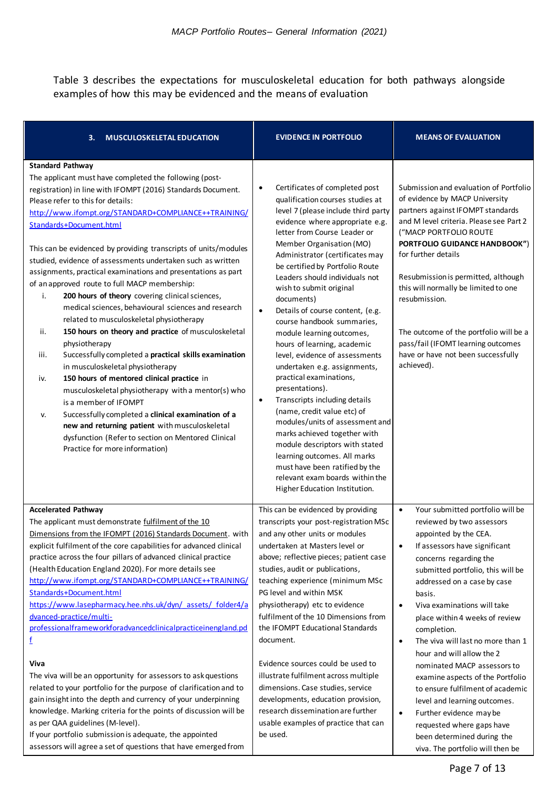Table 3 describes the expectations for musculoskeletal education for both pathways alongside examples of how this may be evidenced and the means of evaluation

| 3.<br><b>MUSCULOSKELETAL EDUCATION</b>                                                                                                                                                                                                                                                                                                                                                                                                                                                                                                                                                                                                                                                                                                                                                                                                                                                                                                                                                                                                                                                                                                                                                                                  | <b>EVIDENCE IN PORTFOLIO</b>                                                                                                                                                                                                                                                                                                                                                                                                                                                                                                                                                                                                                                                                                                                                                                                                                                                                                                                              | <b>MEANS OF EVALUATION</b>                                                                                                                                                                                                                                                                                                                                                                                                                                                                                                                                                                                                                                                                                          |
|-------------------------------------------------------------------------------------------------------------------------------------------------------------------------------------------------------------------------------------------------------------------------------------------------------------------------------------------------------------------------------------------------------------------------------------------------------------------------------------------------------------------------------------------------------------------------------------------------------------------------------------------------------------------------------------------------------------------------------------------------------------------------------------------------------------------------------------------------------------------------------------------------------------------------------------------------------------------------------------------------------------------------------------------------------------------------------------------------------------------------------------------------------------------------------------------------------------------------|-----------------------------------------------------------------------------------------------------------------------------------------------------------------------------------------------------------------------------------------------------------------------------------------------------------------------------------------------------------------------------------------------------------------------------------------------------------------------------------------------------------------------------------------------------------------------------------------------------------------------------------------------------------------------------------------------------------------------------------------------------------------------------------------------------------------------------------------------------------------------------------------------------------------------------------------------------------|---------------------------------------------------------------------------------------------------------------------------------------------------------------------------------------------------------------------------------------------------------------------------------------------------------------------------------------------------------------------------------------------------------------------------------------------------------------------------------------------------------------------------------------------------------------------------------------------------------------------------------------------------------------------------------------------------------------------|
| <b>Standard Pathway</b><br>The applicant must have completed the following (post-<br>registration) in line with IFOMPT (2016) Standards Document.<br>Please refer to this for details:<br>http://www.ifompt.org/STANDARD+COMPLIANCE++TRAINING/<br>Standards+Document.html<br>This can be evidenced by providing transcripts of units/modules<br>studied, evidence of assessments undertaken such as written<br>assignments, practical examinations and presentations as part<br>of an approved route to full MACP membership:<br>200 hours of theory covering clinical sciences,<br>i.<br>medical sciences, behavioural sciences and research<br>related to musculoskeletal physiotherapy<br>ii.<br>150 hours on theory and practice of musculoskeletal<br>physiotherapy<br>Successfully completed a practical skills examination<br>iii.<br>in musculoskeletal physiotherapy<br>150 hours of mentored clinical practice in<br>iv.<br>musculoskeletal physiotherapy with a mentor(s) who<br>is a member of IFOMPT<br>Successfully completed a clinical examination of a<br>v.<br>new and returning patient with musculoskeletal<br>dysfunction (Refer to section on Mentored Clinical<br>Practice for more information) | Certificates of completed post<br>$\bullet$<br>qualification courses studies at<br>level 7 (please include third party<br>evidence where appropriate e.g.<br>letter from Course Leader or<br>Member Organisation (MO)<br>Administrator (certificates may<br>be certified by Portfolio Route<br>Leaders should individuals not<br>wish to submit original<br>documents)<br>Details of course content, (e.g.<br>$\bullet$<br>course handbook summaries,<br>module learning outcomes,<br>hours of learning, academic<br>level, evidence of assessments<br>undertaken e.g. assignments,<br>practical examinations,<br>presentations).<br>Transcripts including details<br>$\bullet$<br>(name, credit value etc) of<br>modules/units of assessment and<br>marks achieved together with<br>module descriptors with stated<br>learning outcomes. All marks<br>must have been ratified by the<br>relevant exam boards within the<br>Higher Education Institution. | Submission and evaluation of Portfolio<br>of evidence by MACP University<br>partners against IFOMPT standards<br>and M level criteria. Please see Part 2<br>("MACP PORTFOLIO ROUTE<br>PORTFOLIO GUIDANCE HANDBOOK")<br>for further details<br>Resubmission is permitted, although<br>this will normally be limited to one<br>resubmission.<br>The outcome of the portfolio will be a<br>pass/fail (IFOMT learning outcomes<br>have or have not been successfully<br>achieved).                                                                                                                                                                                                                                      |
| <b>Accelerated Pathway</b><br>The applicant must demonstrate fulfilment of the 10<br>Dimensions from the IFOMPT (2016) Standards Document. with<br>explicit fulfilment of the core capabilities for advanced clinical<br>practice across the four pillars of advanced clinical practice<br>(Health Education England 2020). For more details see<br>http://www.ifompt.org/STANDARD+COMPLIANCE++TRAINING/<br>Standards+Document.html<br>https://www.lasepharmacy.hee.nhs.uk/dyn/ assets/ folder4/a<br>dvanced-practice/multi-<br>professionalframeworkforadvancedclinicalpracticeinengland.pd<br>f<br>Viva<br>The viva will be an opportunity for assessors to ask questions<br>related to your portfolio for the purpose of clarification and to<br>gain insight into the depth and currency of your underpinning<br>knowledge. Marking criteria for the points of discussion will be<br>as per QAA guidelines (M-level).<br>If your portfolio submission is adequate, the appointed<br>assessors will agree a set of questions that have emerged from                                                                                                                                                                  | This can be evidenced by providing<br>transcripts your post-registration MSc<br>and any other units or modules<br>undertaken at Masters level or<br>above; reflective pieces; patient case<br>studies, audit or publications,<br>teaching experience (minimum MSc<br>PG level and within MSK<br>physiotherapy) etc to evidence<br>fulfilment of the 10 Dimensions from<br>the IFOMPT Educational Standards<br>document.<br>Evidence sources could be used to<br>illustrate fulfilment across multiple<br>dimensions. Case studies, service<br>developments, education provision,<br>research dissemination are further<br>usable examples of practice that can<br>be used.                                                                                                                                                                                                                                                                                | Your submitted portfolio will be<br>$\bullet$<br>reviewed by two assessors<br>appointed by the CEA.<br>If assessors have significant<br>$\bullet$<br>concerns regarding the<br>submitted portfolio, this will be<br>addressed on a case by case<br>basis.<br>Viva examinations will take<br>$\bullet$<br>place within 4 weeks of review<br>completion.<br>The viva will last no more than 1<br>$\bullet$<br>hour and will allow the 2<br>nominated MACP assessors to<br>examine aspects of the Portfolio<br>to ensure fulfilment of academic<br>level and learning outcomes.<br>Further evidence may be<br>$\bullet$<br>requested where gaps have<br>been determined during the<br>viva. The portfolio will then be |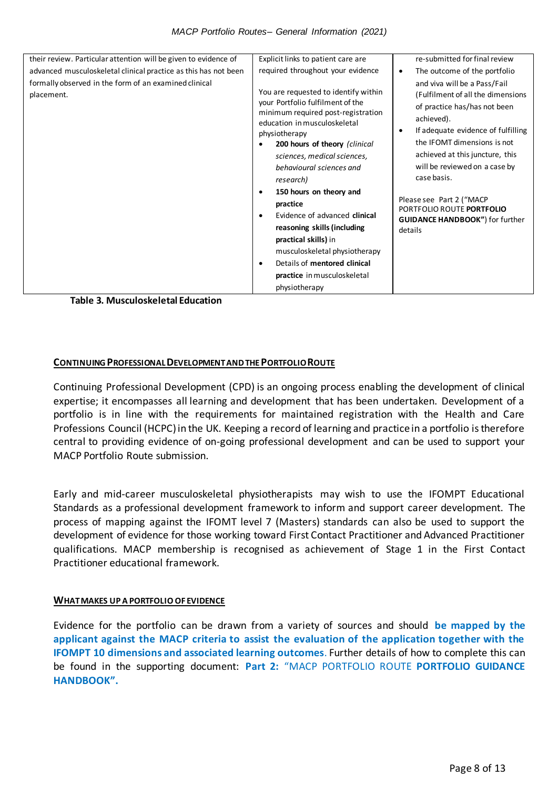| their review. Particular attention will be given to evidence of<br>advanced musculoskeletal clinical practice as this has not been<br>formally observed in the form of an examined clinical<br>placement. | Explicit links to patient care are<br>required throughout your evidence<br>You are requested to identify within<br>your Portfolio fulfilment of the<br>minimum required post-registration<br>education in musculoskeletal<br>physiotherapy<br>200 hours of theory (clinical<br>sciences, medical sciences,<br>behavioural sciences and<br>research)<br>150 hours on theory and<br>$\bullet$<br>practice<br>Evidence of advanced clinical<br>$\bullet$<br>reasoning skills (including<br>practical skills) in<br>musculoskeletal physiotherapy<br>Details of mentored clinical<br>$\bullet$ | re-submitted for final review<br>The outcome of the portfolio<br>$\bullet$<br>and viva will be a Pass/Fail<br>(Fulfilment of all the dimensions<br>of practice has/has not been<br>achieved).<br>If adequate evidence of fulfilling<br>٠<br>the IFOMT dimensions is not<br>achieved at this juncture, this<br>will be reviewed on a case by<br>case basis.<br>Please see Part 2 ("MACP<br>PORTFOLIO ROUTE PORTFOLIO<br><b>GUIDANCE HANDBOOK")</b> for further<br>details |
|-----------------------------------------------------------------------------------------------------------------------------------------------------------------------------------------------------------|--------------------------------------------------------------------------------------------------------------------------------------------------------------------------------------------------------------------------------------------------------------------------------------------------------------------------------------------------------------------------------------------------------------------------------------------------------------------------------------------------------------------------------------------------------------------------------------------|--------------------------------------------------------------------------------------------------------------------------------------------------------------------------------------------------------------------------------------------------------------------------------------------------------------------------------------------------------------------------------------------------------------------------------------------------------------------------|
|                                                                                                                                                                                                           | practice in musculoskeletal<br>physiotherapy                                                                                                                                                                                                                                                                                                                                                                                                                                                                                                                                               |                                                                                                                                                                                                                                                                                                                                                                                                                                                                          |

**Table 3. Musculoskeletal Education**

#### **CONTINUING PROFESSIONAL DEVELOPMENT AND THE PORTFOLIO ROUTE**

Continuing Professional Development (CPD) is an ongoing process enabling the development of clinical expertise; it encompasses all learning and development that has been undertaken. Development of a portfolio is in line with the requirements for maintained registration with the Health and Care Professions Council (HCPC) in the UK. Keeping a record of learning and practice in a portfolio is therefore central to providing evidence of on-going professional development and can be used to support your MACP Portfolio Route submission.

Early and mid-career musculoskeletal physiotherapists may wish to use the IFOMPT Educational Standards as a professional development framework to inform and support career development. The process of mapping against the IFOMT level 7 (Masters) standards can also be used to support the development of evidence for those working toward First Contact Practitioner and Advanced Practitioner qualifications. MACP membership is recognised as achievement of Stage 1 in the First Contact Practitioner educational framework.

#### **WHAT MAKES UP A PORTFOLIO OF EVIDENCE**

Evidence for the portfolio can be drawn from a variety of sources and should **be mapped by the applicant against the MACP criteria to assist the evaluation of the application together with the IFOMPT 10 dimensions and associated learning outcomes**. Further details of how to complete this can be found in the supporting document: **Part 2:** "MACP PORTFOLIO ROUTE **PORTFOLIO GUIDANCE HANDBOOK".**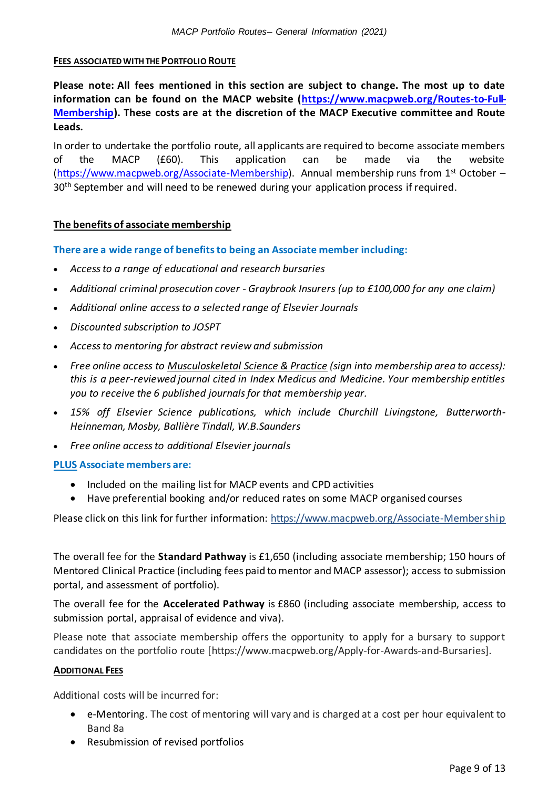#### **FEES ASSOCIATEDWITH THE PORTFOLIO ROUTE**

**Please note: All fees mentioned in this section are subject to change. The most up to date information can be found on the MACP website [\(https://www.macpweb.org/Routes-to-Full-](https://www.macpweb.org/Routes-to-Full-Membership)[Membership\)](https://www.macpweb.org/Routes-to-Full-Membership). These costs are at the discretion of the MACP Executive committee and Route Leads.**

In order to undertake the portfolio route, all applicants are required to become associate members of the MACP (£60). This application can be made via the website [\(https://www.macpweb.org/Associate-Membership\).](https://www.macpweb.org/Associate-Membership) Annual membership runs from  $1<sup>st</sup>$  October – 30<sup>th</sup> September and will need to be renewed during your application process if required.

#### **The benefits of associate membership**

#### **There are a wide range of benefits to being an Associate member including:**

- *Access to a range of educational and research bursaries*
- *Additional criminal prosecution cover - Graybrook Insurers (up to £100,000 for any one claim)*
- *Additional online access to a selected range of Elsevier Journals*
- *Discounted subscription to JOSPT*
- *Access to mentoring for abstract review and submission*
- *Free online access to [Musculoskeletal Science & Practice](https://www.mskscienceandpractice.com/) (sign into membership area to access): this is a peer-reviewed journal cited in Index Medicus and Medicine. Your membership entitles you to receive the 6 published journals for that membership year.*
- *15% off Elsevier Science publications, which include Churchill Livingstone, Butterworth-Heinneman, Mosby, Ballière Tindall, W.B.Saunders*
- *Free online access to additional Elsevier journals*

#### **PLUS Associate members are:**

- Included on the mailing list for MACP events and CPD activities
- Have preferential booking and/or reduced rates on some MACP organised courses

Please click on this link for further information:<https://www.macpweb.org/Associate-Membership>

The overall fee for the **Standard Pathway** is £1,650 (including associate membership; 150 hours of Mentored Clinical Practice (including fees paid to mentor and MACP assessor); access to submission portal, and assessment of portfolio).

The overall fee for the **Accelerated Pathway** is £860 (including associate membership, access to submission portal, appraisal of evidence and viva).

Please note that associate membership offers the opportunity to apply for a bursary to support candidates on the portfolio route [https://www.macpweb.org/Apply-for-Awards-and-Bursaries].

#### **ADDITIONAL FEES**

Additional costs will be incurred for:

- e-Mentoring. The cost of mentoring will vary and is charged at a cost per hour equivalent to Band 8a
- Resubmission of revised portfolios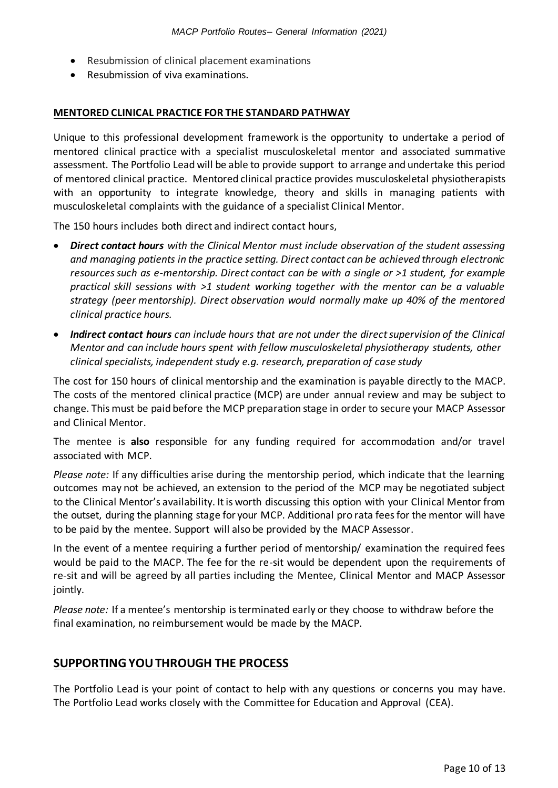- Resubmission of clinical placement examinations
- Resubmission of viva examinations.

#### **MENTORED CLINICAL PRACTICE FOR THE STANDARD PATHWAY**

Unique to this professional development framework is the opportunity to undertake a period of mentored clinical practice with a specialist musculoskeletal mentor and associated summative assessment. The Portfolio Lead will be able to provide support to arrange and undertake this period of mentored clinical practice. Mentored clinical practice provides musculoskeletal physiotherapists with an opportunity to integrate knowledge, theory and skills in managing patients with musculoskeletal complaints with the guidance of a specialist Clinical Mentor.

The 150 hours includes both direct and indirect contact hours,

- *Direct contact hours with the Clinical Mentor must include observation of the student assessing and managing patients in the practice setting. Direct contact can be achieved through electronic resources such as e-mentorship. Direct contact can be with a single or >1 student, for example practical skill sessions with >1 student working together with the mentor can be a valuable strategy (peer mentorship). Direct observation would normally make up 40% of the mentored clinical practice hours.*
- *Indirect contact hours can include hours that are not under the direct supervision of the Clinical Mentor and can include hours spent with fellow musculoskeletal physiotherapy students, other clinical specialists, independent study e.g. research, preparation of case study*

The cost for 150 hours of clinical mentorship and the examination is payable directly to the MACP. The costs of the mentored clinical practice (MCP) are under annual review and may be subject to change. This must be paid before the MCP preparation stage in order to secure your MACP Assessor and Clinical Mentor.

The mentee is **also** responsible for any funding required for accommodation and/or travel associated with MCP.

*Please note:* If any difficulties arise during the mentorship period, which indicate that the learning outcomes may not be achieved, an extension to the period of the MCP may be negotiated subject to the Clinical Mentor's availability. It is worth discussing this option with your Clinical Mentor from the outset, during the planning stage for your MCP. Additional pro rata fees for the mentor will have to be paid by the mentee. Support will also be provided by the MACP Assessor.

In the event of a mentee requiring a further period of mentorship/ examination the required fees would be paid to the MACP. The fee for the re-sit would be dependent upon the requirements of re-sit and will be agreed by all parties including the Mentee, Clinical Mentor and MACP Assessor jointly.

*Please note:* If a mentee's mentorship is terminated early or they choose to withdraw before the final examination, no reimbursement would be made by the MACP.

#### **SUPPORTING YOU THROUGH THE PROCESS**

The Portfolio Lead is your point of contact to help with any questions or concerns you may have. The Portfolio Lead works closely with the Committee for Education and Approval (CEA).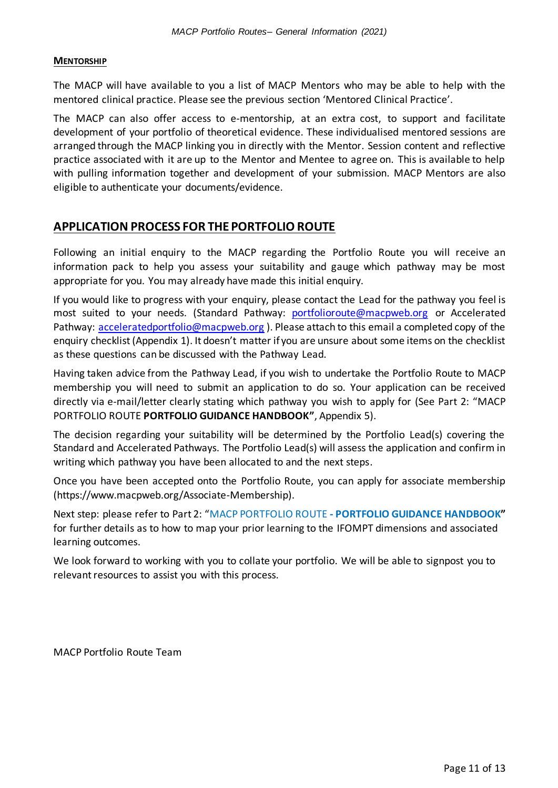#### **MENTORSHIP**

The MACP will have available to you a list of MACP Mentors who may be able to help with the mentored clinical practice. Please see the previous section 'Mentored Clinical Practice'.

The MACP can also offer access to e-mentorship, at an extra cost, to support and facilitate development of your portfolio of theoretical evidence. These individualised mentored sessions are arranged through the MACP linking you in directly with the Mentor. Session content and reflective practice associated with it are up to the Mentor and Mentee to agree on. This is available to help with pulling information together and development of your submission. MACP Mentors are also eligible to authenticate your documents/evidence.

### **APPLICATION PROCESS FOR THE PORTFOLIO ROUTE**

Following an initial enquiry to the MACP regarding the Portfolio Route you will receive an information pack to help you assess your suitability and gauge which pathway may be most appropriate for you. You may already have made this initial enquiry.

If you would like to progress with your enquiry, please contact the Lead for the pathway you feel is most suited to your needs. (Standard Pathway: [portfolioroute@macpweb.org](mailto:portfolioroute@macpweb.org) or Accelerated Pathway: [acceleratedportfolio@macpweb.org](mailto:acceleratedportfolio@macpweb.org)). Please attach to this email a completed copy of the enquiry checklist (Appendix 1). It doesn't matter if you are unsure about some items on the checklist as these questions can be discussed with the Pathway Lead.

Having taken advice from the Pathway Lead, if you wish to undertake the Portfolio Route to MACP membership you will need to submit an application to do so. Your application can be received directly via e-mail/letter clearly stating which pathway you wish to apply for (See Part 2: "MACP PORTFOLIO ROUTE **PORTFOLIO GUIDANCE HANDBOOK"**, Appendix 5).

The decision regarding your suitability will be determined by the Portfolio Lead(s) covering the Standard and Accelerated Pathways. The Portfolio Lead(s) will assess the application and confirm in writing which pathway you have been allocated to and the next steps.

Once you have been accepted onto the Portfolio Route, you can apply for associate membership (https://www.macpweb.org/Associate-Membership).

Next step: please refer to Part 2: "MACP PORTFOLIO ROUTE **- PORTFOLIO GUIDANCE HANDBOOK"** for further details as to how to map your prior learning to the IFOMPT dimensions and associated learning outcomes.

We look forward to working with you to collate your portfolio. We will be able to signpost you to relevant resources to assist you with this process.

MACP Portfolio Route Team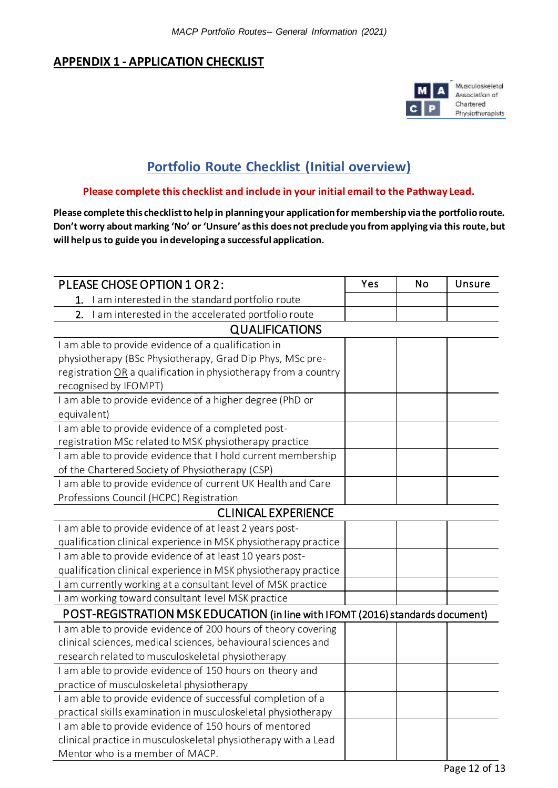## **APPENDIX 1 - APPLICATION CHECKLIST**



## **Portfolio Route Checklist (Initial overview)**

#### **Please complete this checklist and include in your initial email to the Pathway Lead.**

**Please complete this checklist to help in planning your application for membership via the portfolio route. Don't worry about marking 'No' or 'Unsure' as this does not preclude you from applying via this route, but will help us to guide you in developing a successful application.**

| PLEASE CHOSE OPTION 1 OR 2:                                                    | Yes | <b>No</b> | Unsure |
|--------------------------------------------------------------------------------|-----|-----------|--------|
| I am interested in the standard portfolio route<br>1.                          |     |           |        |
| I am interested in the accelerated portfolio route<br>2.                       |     |           |        |
| <b>QUALIFICATIONS</b>                                                          |     |           |        |
| I am able to provide evidence of a qualification in                            |     |           |        |
| physiotherapy (BSc Physiotherapy, Grad Dip Phys, MSc pre-                      |     |           |        |
| registration OR a qualification in physiotherapy from a country                |     |           |        |
| recognised by IFOMPT)                                                          |     |           |        |
| I am able to provide evidence of a higher degree (PhD or                       |     |           |        |
| equivalent)                                                                    |     |           |        |
| I am able to provide evidence of a completed post-                             |     |           |        |
| registration MSc related to MSK physiotherapy practice                         |     |           |        |
| I am able to provide evidence that I hold current membership                   |     |           |        |
| of the Chartered Society of Physiotherapy (CSP)                                |     |           |        |
| I am able to provide evidence of current UK Health and Care                    |     |           |        |
| Professions Council (HCPC) Registration                                        |     |           |        |
| <b>CLINICAL EXPERIENCE</b>                                                     |     |           |        |
| I am able to provide evidence of at least 2 years post-                        |     |           |        |
| qualification clinical experience in MSK physiotherapy practice                |     |           |        |
| I am able to provide evidence of at least 10 years post-                       |     |           |        |
| qualification clinical experience in MSK physiotherapy practice                |     |           |        |
| am currently working at a consultant level of MSK practice                     |     |           |        |
| I am working toward consultant level MSK practice                              |     |           |        |
| POST-REGISTRATION MSK EDUCATION (in line with IFOMT (2016) standards document) |     |           |        |
| I am able to provide evidence of 200 hours of theory covering                  |     |           |        |
| clinical sciences, medical sciences, behavioural sciences and                  |     |           |        |
| research related to musculoskeletal physiotherapy                              |     |           |        |
| I am able to provide evidence of 150 hours on theory and                       |     |           |        |
| practice of musculoskeletal physiotherapy                                      |     |           |        |
| I am able to provide evidence of successful completion of a                    |     |           |        |
| practical skills examination in musculoskeletal physiotherapy                  |     |           |        |
| I am able to provide evidence of 150 hours of mentored                         |     |           |        |
| clinical practice in musculoskeletal physiotherapy with a Lead                 |     |           |        |
| Mentor who is a member of MACP.                                                |     |           |        |